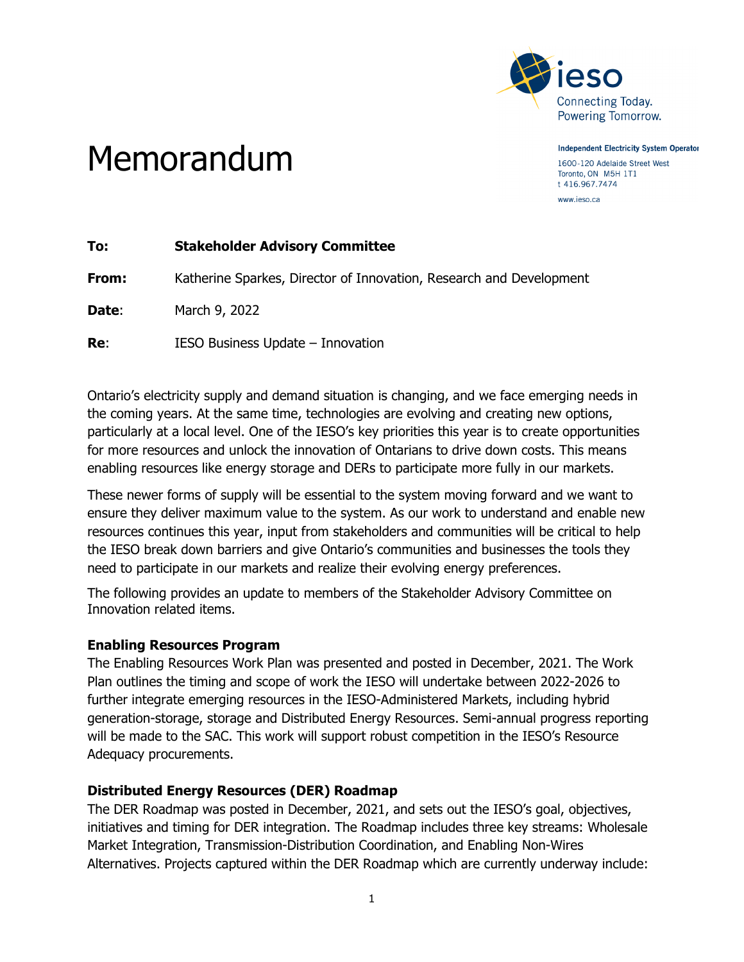

**Independent Electricity System Operator** 

1600-120 Adelaide Street West Toronto, ON M5H 1T1 t 416.967.7474 www.ieso.ca

# Memorandum

| To:   | <b>Stakeholder Advisory Committee</b>                               |
|-------|---------------------------------------------------------------------|
| From: | Katherine Sparkes, Director of Innovation, Research and Development |
| Date: | March 9, 2022                                                       |
| Re:   | IESO Business Update - Innovation                                   |

Ontario's electricity supply and demand situation is changing, and we face emerging needs in the coming years. At the same time, technologies are evolving and creating new options, particularly at a local level. One of the IESO's key priorities this year is to create opportunities for more resources and unlock the innovation of Ontarians to drive down costs. This means enabling resources like energy storage and DERs to participate more fully in our markets.

These newer forms of supply will be essential to the system moving forward and we want to ensure they deliver maximum value to the system. As our work to understand and enable new resources continues this year, input from stakeholders and communities will be critical to help the IESO break down barriers and give Ontario's communities and businesses the tools they need to participate in our markets and realize their evolving energy preferences.

The following provides an update to members of the Stakeholder Advisory Committee on Innovation related items.

## **Enabling Resources Program**

The Enabling Resources Work Plan was presented and posted in December, 2021. The Work Plan outlines the timing and scope of work the IESO will undertake between 2022-2026 to further integrate emerging resources in the IESO-Administered Markets, including hybrid generation-storage, storage and Distributed Energy Resources. Semi-annual progress reporting will be made to the SAC. This work will support robust competition in the IESO's Resource Adequacy procurements.

# **Distributed Energy Resources (DER) Roadmap**

The DER Roadmap was posted in December, 2021, and sets out the IESO's goal, objectives, initiatives and timing for DER integration. The Roadmap includes three key streams: Wholesale Market Integration, Transmission-Distribution Coordination, and Enabling Non-Wires Alternatives. Projects captured within the DER Roadmap which are currently underway include: